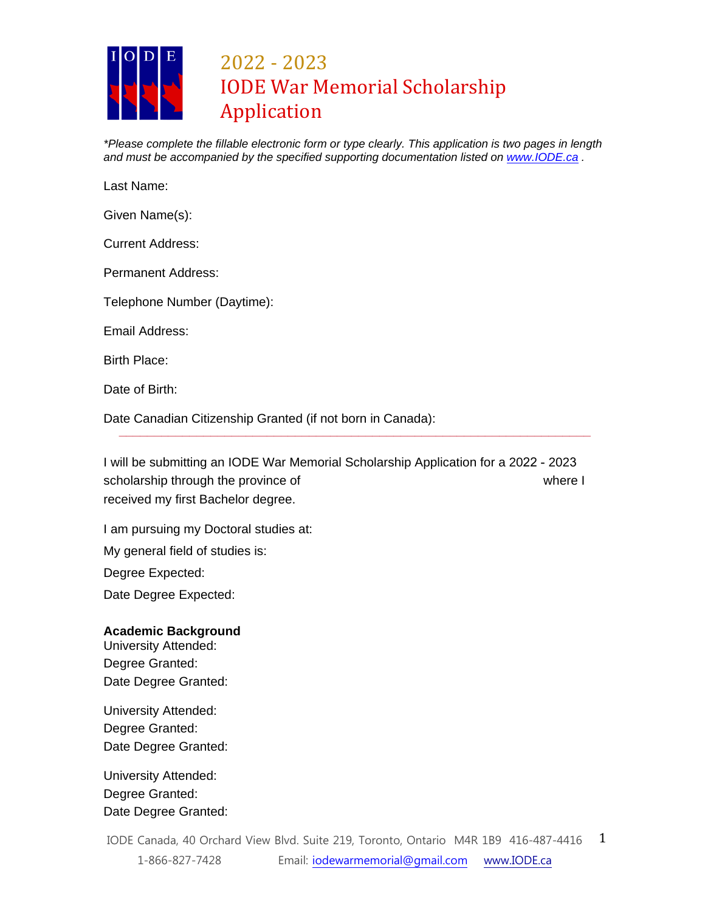

## 2022 - 2023 IODE War Memorial Scholarship Application

*\*Please complete the fillable electronic form or type clearly. This application is two pages in length and must be accompanied by the specified supporting documentation listed on [www.IODE.ca](http://www.iode.ca/) .* 

Last Name:

Given Name(s):

Current Address:

Permanent Address:

Telephone Number (Daytime):

Email Address:

Birth Place:

Date of Birth:

Date Canadian Citizenship Granted (if not born in Canada):

I will be submitting an IODE War Memorial Scholarship Application for a 2022 - 2023 scholarship through the province of where I received my first Bachelor degree.

I am pursuing my Doctoral studies at:

My general field of studies is:

Degree Expected:

Date Degree Expected:

**Academic Background** University Attended: Degree Granted: Date Degree Granted:

University Attended: Degree Granted: Date Degree Granted:

University Attended: Degree Granted: Date Degree Granted: